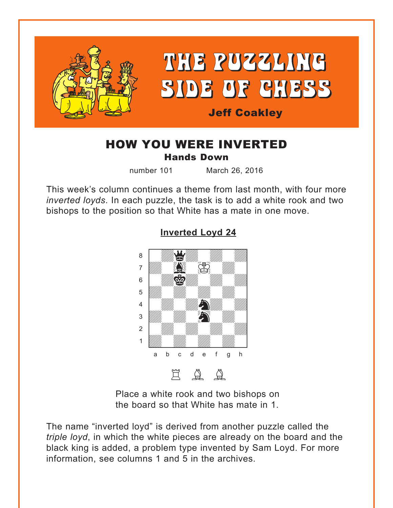<span id="page-0-0"></span>

### HOW YOU WERE INVERTED Hands Down

number 101 March 26, 2016

This week's column continues a theme from last month, with four more *inverted loyds*. In each puzzle, the task is to add a white rook and two bishops to the position so that White has a mate in one move.



### **[Inverted Loyd 24](#page-4-0)**

Place a white rook and two bishops on the board so that White has mate in 1.

The name "inverted loyd" is derived from another puzzle called the *triple loyd*, in which the white pieces are already on the board and the black king is added, a problem type invented by Sam Loyd. For more information, see columns 1 and 5 in the archives.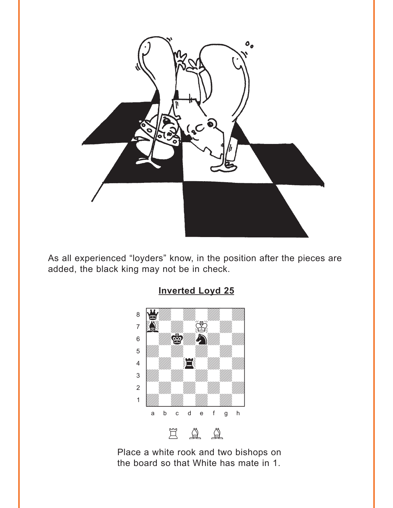<span id="page-1-0"></span>

As all experienced "loyders" know, in the position after the pieces are added, the black king may not be in check.



Place a white rook and two bishops on the board so that White has mate in 1.

## **[Inverted Loyd 25](#page-4-0)**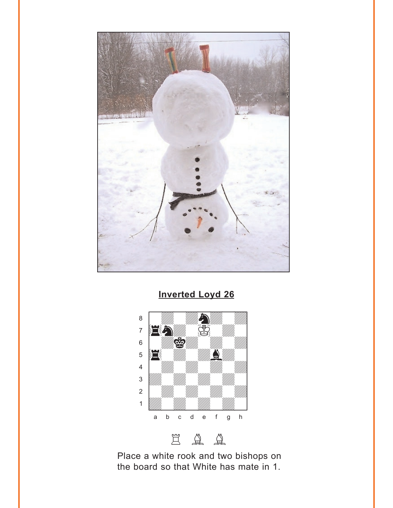<span id="page-2-0"></span>

**Inverted Loyd 26** 





Place a white rook and two bishops on the board so that White has mate in 1.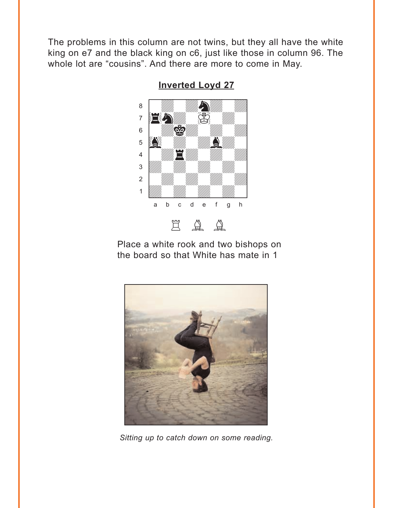<span id="page-3-0"></span>The problems in this column are not twins, but they all have the white king on e7 and the black king on c6, just like those in column 96. The whole lot are "cousins". And there are more to come in May.



**Inverted Loyd 27** 

Place a white rook and two bishops on the board so that White has mate in 1



Sitting up to catch down on some reading.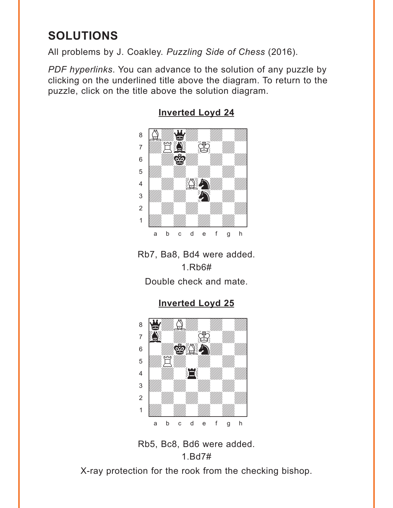# <span id="page-4-0"></span>**SOLUTIONS**

All problems by J. Coakley. *Puzzling Side of Chess* (2016).

*PDF hyperlinks*. You can advance to the solution of any puzzle by clicking on the underlined title above the diagram. To return to the puzzle, click on the title above the solution diagram.



#### **[Inverted Loyd 24](#page-0-0)**

Rb7, Ba8, Bd4 were added. 1.Rb6#

Double check and mate.

**[Inverted Loyd 25](#page-1-0)**



Rb5, Bc8, Bd6 were added. 1.Bd7#

X-ray protection for the rook from the checking bishop.